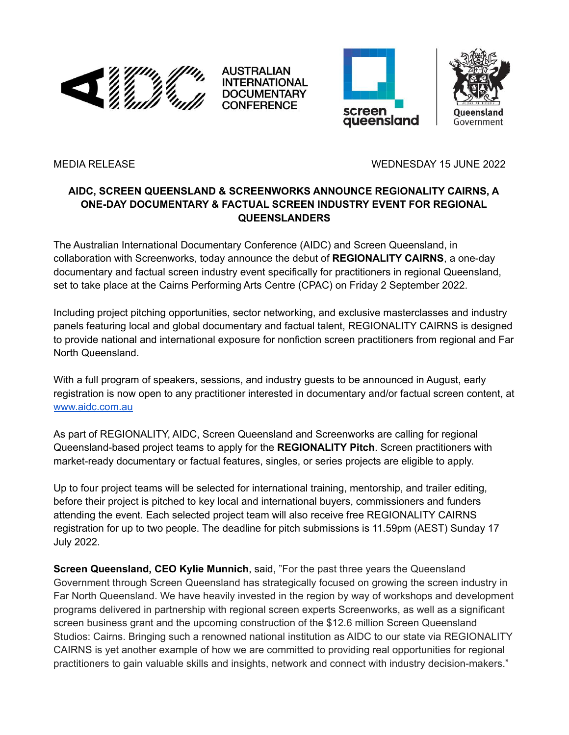

AUSTRALIAN **INTERNATIONAL DOCUMENTARY CONFERENCE** 





MEDIA RELEASE WEDNESDAY 15 JUNE 2022

## **AIDC, SCREEN QUEENSLAND & SCREENWORKS ANNOUNCE REGIONALITY CAIRNS, A ONE-DAY DOCUMENTARY & FACTUAL SCREEN INDUSTRY EVENT FOR REGIONAL QUEENSLANDERS**

The Australian International Documentary Conference (AIDC) and Screen Queensland, in collaboration with Screenworks, today announce the debut of **REGIONALITY CAIRNS**, a one-day documentary and factual screen industry event specifically for practitioners in regional Queensland, set to take place at the Cairns Performing Arts Centre (CPAC) on Friday 2 September 2022.

Including project pitching opportunities, sector networking, and exclusive masterclasses and industry panels featuring local and global documentary and factual talent, REGIONALITY CAIRNS is designed to provide national and international exposure for nonfiction screen practitioners from regional and Far North Queensland.

With a full program of speakers, sessions, and industry guests to be announced in August, early registration is now open to any practitioner interested in documentary and/or factual screen content, at [www.aidc.com.au](http://www.aidc.com.au)

As part of REGIONALITY, AIDC, Screen Queensland and Screenworks are calling for regional Queensland-based project teams to apply for the **REGIONALITY Pitch**. Screen practitioners with market-ready documentary or factual features, singles, or series projects are eligible to apply.

Up to four project teams will be selected for international training, mentorship, and trailer editing, before their project is pitched to key local and international buyers, commissioners and funders attending the event. Each selected project team will also receive free REGIONALITY CAIRNS registration for up to two people. The deadline for pitch submissions is 11.59pm (AEST) Sunday 17 July 2022.

**Screen Queensland, CEO Kylie Munnich**, said, "For the past three years the Queensland Government through Screen Queensland has strategically focused on growing the screen industry in Far North Queensland. We have heavily invested in the region by way of workshops and development programs delivered in partnership with regional screen experts Screenworks, as well as a significant screen business grant and the upcoming construction of the \$12.6 million Screen Queensland Studios: Cairns. Bringing such a renowned national institution as AIDC to our state via REGIONALITY CAIRNS is yet another example of how we are committed to providing real opportunities for regional practitioners to gain valuable skills and insights, network and connect with industry decision-makers."